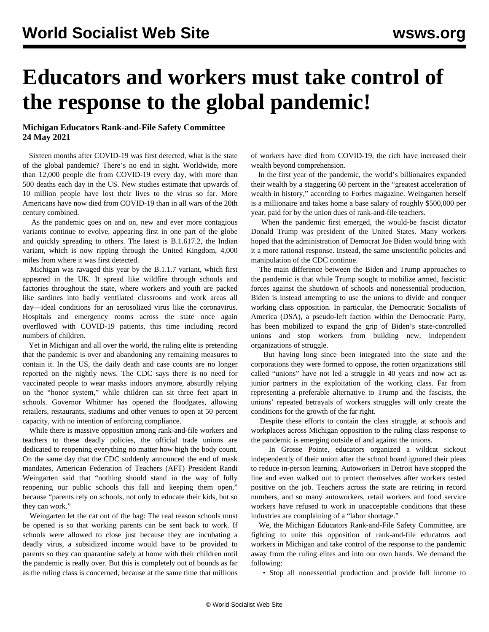## **Educators and workers must take control of the response to the global pandemic!**

## **Michigan Educators Rank-and-File Safety Committee 24 May 2021**

 Sixteen months after COVID-19 was first detected, what is the state of the global pandemic? There's no end in sight. Worldwide, more than 12,000 people die from COVID-19 every day, with more than 500 deaths each day in the US. New studies estimate that upwards of 10 million people have lost their lives to the virus so far. More Americans have now died from COVID-19 than in all wars of the 20th century combined.

 As the pandemic goes on and on, new and ever more contagious variants continue to evolve, appearing first in one part of the globe and quickly spreading to others. The latest is B.1.617.2, the Indian variant, which is now ripping through the United Kingdom, 4,000 miles from where it was first detected.

 Michigan was ravaged this year by the B.1.1.7 variant, which first appeared in the UK. It spread like wildfire through schools and factories throughout the state, where workers and youth are packed like sardines into badly ventilated classrooms and work areas all day—ideal conditions for an aerosolized virus like the coronavirus. Hospitals and emergency rooms across the state once again overflowed with COVID-19 patients, this time including record numbers of children.

 Yet in Michigan and all over the world, the ruling elite is pretending that the pandemic is over and abandoning any remaining measures to contain it. In the US, the daily death and case counts are no longer reported on the nightly news. The CDC says there is no need for vaccinated people to wear masks indoors anymore, absurdly relying on the "honor system," while children can sit three feet apart in schools. Governor Whitmer has opened the floodgates, allowing retailers, restaurants, stadiums and other venues to open at 50 percent capacity, with no intention of enforcing compliance.

 While there is massive opposition among rank-and-file workers and teachers to these deadly policies, the official trade unions are dedicated to reopening everything no matter how high the body count. On the same day that the CDC suddenly announced the end of mask mandates, American Federation of Teachers (AFT) President Randi Weingarten said that "nothing should stand in the way of fully reopening our public schools this fall and keeping them open," because "parents rely on schools, not only to educate their kids, but so they can work."

 Weingarten let the cat out of the bag: The real reason schools must be opened is so that working parents can be sent back to work. If schools were allowed to close just because they are incubating a deadly virus, a subsidized income would have to be provided to parents so they can quarantine safely at home with their children until the pandemic is really over. But this is completely out of bounds as far as the ruling class is concerned, because at the same time that millions of workers have died from COVID-19, the rich have increased their wealth beyond comprehension.

 In the first year of the pandemic, the world's billionaires expanded their wealth by a staggering 60 percent in the "greatest acceleration of wealth in history," according to Forbes magazine. Weingarten herself is a millionaire and takes home a base salary of roughly \$500,000 per year, paid for by the union dues of rank-and-file teachers.

 When the pandemic first emerged, the would-be fascist dictator Donald Trump was president of the United States. Many workers hoped that the administration of Democrat Joe Biden would bring with it a more rational response. Instead, the same unscientific policies and manipulation of the CDC continue.

 The main difference between the Biden and Trump approaches to the pandemic is that while Trump sought to mobilize armed, fascistic forces against the shutdown of schools and nonessential production, Biden is instead attempting to use the unions to divide and conquer working class opposition. In particular, the Democratic Socialists of America (DSA), a pseudo-left faction within the Democratic Party, has been mobilized to expand the grip of Biden's state-controlled unions and stop workers from building new, independent organizations of struggle.

 But having long since been integrated into the state and the corporations they were formed to oppose, the rotten organizations still called "unions" have not led a struggle in 40 years and now act as junior partners in the exploitation of the working class. Far from representing a preferable alternative to Trump and the fascists, the unions' repeated betrayals of workers struggles will only create the conditions for the growth of the far right.

 Despite these efforts to contain the class struggle, at schools and workplaces across Michigan opposition to the ruling class response to the pandemic is emerging outside of and against the unions.

 In Grosse Pointe, educators organized a [wildcat sickout](/en/articles/2021/04/30/detr-a30.html) independently of their union after the school board ignored their pleas to reduce in-person learning. Autoworkers in Detroit have stopped the line and even [walked out to protect themselves](/en/articles/2021/04/17/jnap-a17.html) after workers tested positive on the job. Teachers across the state are retiring in record numbers, and so many autoworkers, retail workers and food service workers have refused to work in unacceptable conditions that these industries are complaining of a "labor shortage."

 We, the Michigan Educators Rank-and-File Safety Committee, are fighting to unite this opposition of rank-and-file educators and workers in Michigan and take control of the response to the pandemic away from the ruling elites and into our own hands. We demand the following:

• Stop all nonessential production and provide full income to